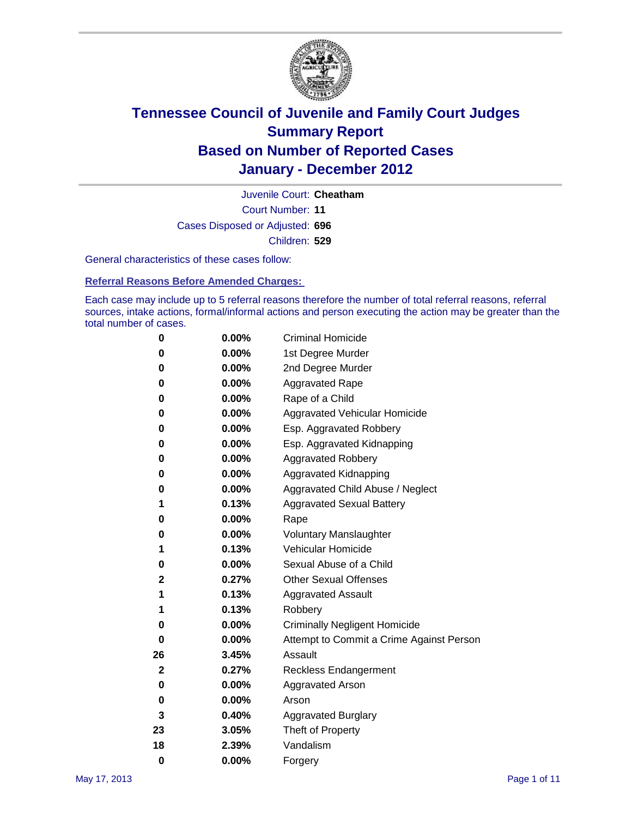

Court Number: **11** Juvenile Court: **Cheatham** Cases Disposed or Adjusted: **696** Children: **529**

General characteristics of these cases follow:

**Referral Reasons Before Amended Charges:** 

Each case may include up to 5 referral reasons therefore the number of total referral reasons, referral sources, intake actions, formal/informal actions and person executing the action may be greater than the total number of cases.

| 0  | 0.00%    | <b>Criminal Homicide</b>                 |  |  |
|----|----------|------------------------------------------|--|--|
| 0  | 0.00%    | 1st Degree Murder                        |  |  |
| 0  | 0.00%    | 2nd Degree Murder                        |  |  |
| 0  | 0.00%    | <b>Aggravated Rape</b>                   |  |  |
| 0  | 0.00%    | Rape of a Child                          |  |  |
| 0  | 0.00%    | Aggravated Vehicular Homicide            |  |  |
| 0  | 0.00%    | Esp. Aggravated Robbery                  |  |  |
| 0  | 0.00%    | Esp. Aggravated Kidnapping               |  |  |
| 0  | 0.00%    | <b>Aggravated Robbery</b>                |  |  |
| 0  | 0.00%    | Aggravated Kidnapping                    |  |  |
| 0  | 0.00%    | Aggravated Child Abuse / Neglect         |  |  |
| 1  | 0.13%    | <b>Aggravated Sexual Battery</b>         |  |  |
| 0  | 0.00%    | Rape                                     |  |  |
| 0  | $0.00\%$ | <b>Voluntary Manslaughter</b>            |  |  |
| 1  | 0.13%    | Vehicular Homicide                       |  |  |
| 0  | 0.00%    | Sexual Abuse of a Child                  |  |  |
| 2  | 0.27%    | <b>Other Sexual Offenses</b>             |  |  |
| 1  | 0.13%    | <b>Aggravated Assault</b>                |  |  |
| 1  | 0.13%    | Robbery                                  |  |  |
| 0  | 0.00%    | <b>Criminally Negligent Homicide</b>     |  |  |
| 0  | 0.00%    | Attempt to Commit a Crime Against Person |  |  |
| 26 | 3.45%    | Assault                                  |  |  |
| 2  | 0.27%    | <b>Reckless Endangerment</b>             |  |  |
| 0  | 0.00%    | <b>Aggravated Arson</b>                  |  |  |
| 0  | 0.00%    | Arson                                    |  |  |
| 3  | 0.40%    | <b>Aggravated Burglary</b>               |  |  |
| 23 | 3.05%    | Theft of Property                        |  |  |
| 18 | 2.39%    | Vandalism                                |  |  |
| 0  | 0.00%    | Forgery                                  |  |  |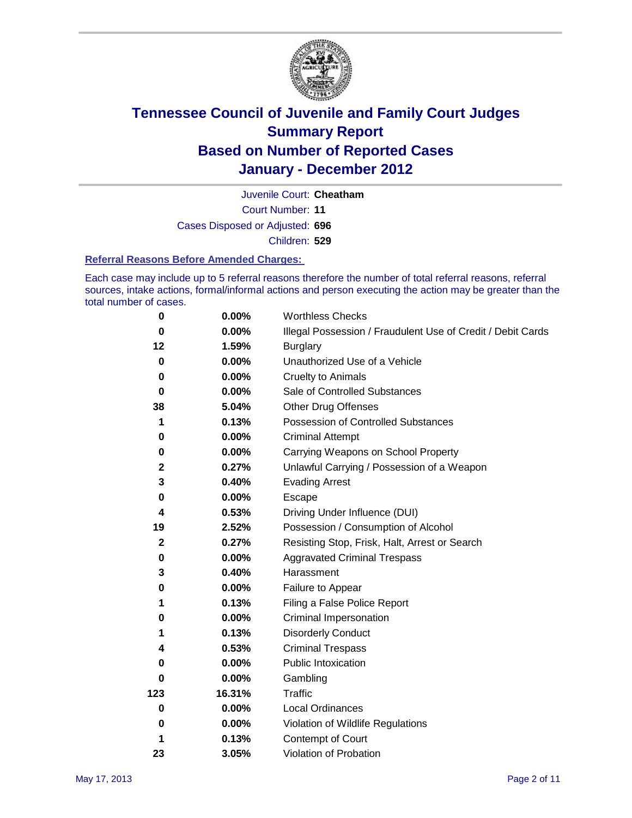

Court Number: **11** Juvenile Court: **Cheatham** Cases Disposed or Adjusted: **696** Children: **529**

#### **Referral Reasons Before Amended Charges:**

Each case may include up to 5 referral reasons therefore the number of total referral reasons, referral sources, intake actions, formal/informal actions and person executing the action may be greater than the total number of cases.

| $\pmb{0}$   | 0.00%    | <b>Worthless Checks</b>                                     |
|-------------|----------|-------------------------------------------------------------|
| 0           | 0.00%    | Illegal Possession / Fraudulent Use of Credit / Debit Cards |
| 12          | 1.59%    | <b>Burglary</b>                                             |
| $\bf{0}$    | $0.00\%$ | Unauthorized Use of a Vehicle                               |
| 0           | $0.00\%$ | <b>Cruelty to Animals</b>                                   |
| $\bf{0}$    | 0.00%    | Sale of Controlled Substances                               |
| 38          | 5.04%    | <b>Other Drug Offenses</b>                                  |
| 1           | 0.13%    | Possession of Controlled Substances                         |
| 0           | $0.00\%$ | <b>Criminal Attempt</b>                                     |
| 0           | 0.00%    | Carrying Weapons on School Property                         |
| $\mathbf 2$ | 0.27%    | Unlawful Carrying / Possession of a Weapon                  |
| 3           | 0.40%    | <b>Evading Arrest</b>                                       |
| 0           | 0.00%    | Escape                                                      |
| 4           | 0.53%    | Driving Under Influence (DUI)                               |
| 19          | 2.52%    | Possession / Consumption of Alcohol                         |
| $\mathbf 2$ | 0.27%    | Resisting Stop, Frisk, Halt, Arrest or Search               |
| 0           | $0.00\%$ | <b>Aggravated Criminal Trespass</b>                         |
| 3           | 0.40%    | Harassment                                                  |
| 0           | 0.00%    | Failure to Appear                                           |
| 1           | 0.13%    | Filing a False Police Report                                |
| 0           | 0.00%    | Criminal Impersonation                                      |
| 1           | 0.13%    | <b>Disorderly Conduct</b>                                   |
| 4           | 0.53%    | <b>Criminal Trespass</b>                                    |
| 0           | 0.00%    | Public Intoxication                                         |
| 0           | $0.00\%$ | Gambling                                                    |
| 123         | 16.31%   | Traffic                                                     |
| 0           | $0.00\%$ | <b>Local Ordinances</b>                                     |
| 0           | $0.00\%$ | Violation of Wildlife Regulations                           |
| 1           | 0.13%    | Contempt of Court                                           |
| 23          | 3.05%    | Violation of Probation                                      |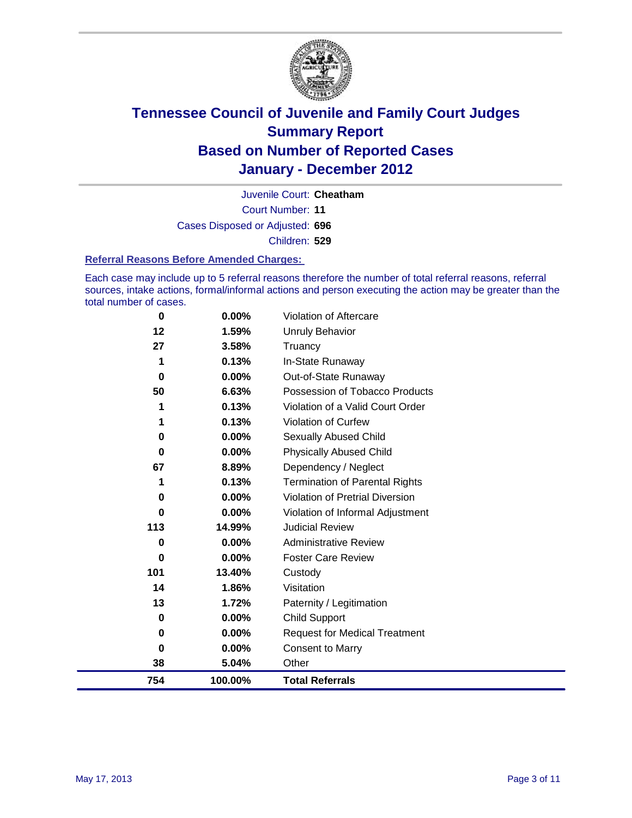

Court Number: **11** Juvenile Court: **Cheatham** Cases Disposed or Adjusted: **696** Children: **529**

#### **Referral Reasons Before Amended Charges:**

Each case may include up to 5 referral reasons therefore the number of total referral reasons, referral sources, intake actions, formal/informal actions and person executing the action may be greater than the total number of cases.

| 0        | 0.00%   | Violation of Aftercare                 |
|----------|---------|----------------------------------------|
| 12       | 1.59%   | <b>Unruly Behavior</b>                 |
| 27       | 3.58%   | Truancy                                |
| 1        | 0.13%   | In-State Runaway                       |
| 0        | 0.00%   | Out-of-State Runaway                   |
| 50       | 6.63%   | Possession of Tobacco Products         |
|          | 0.13%   | Violation of a Valid Court Order       |
| 1        | 0.13%   | Violation of Curfew                    |
| 0        | 0.00%   | Sexually Abused Child                  |
| $\bf{0}$ | 0.00%   | <b>Physically Abused Child</b>         |
| 67       | 8.89%   | Dependency / Neglect                   |
| 1        | 0.13%   | Termination of Parental Rights         |
| 0        | 0.00%   | <b>Violation of Pretrial Diversion</b> |
| 0        | 0.00%   | Violation of Informal Adjustment       |
| 113      | 14.99%  | <b>Judicial Review</b>                 |
| 0        | 0.00%   | <b>Administrative Review</b>           |
| $\bf{0}$ | 0.00%   | <b>Foster Care Review</b>              |
| 101      | 13.40%  | Custody                                |
| 14       | 1.86%   | Visitation                             |
| 13       | 1.72%   | Paternity / Legitimation               |
| 0        | 0.00%   | <b>Child Support</b>                   |
| 0        | 0.00%   | <b>Request for Medical Treatment</b>   |
| 0        | 0.00%   | <b>Consent to Marry</b>                |
| 38       | 5.04%   | Other                                  |
| 754      | 100.00% | <b>Total Referrals</b>                 |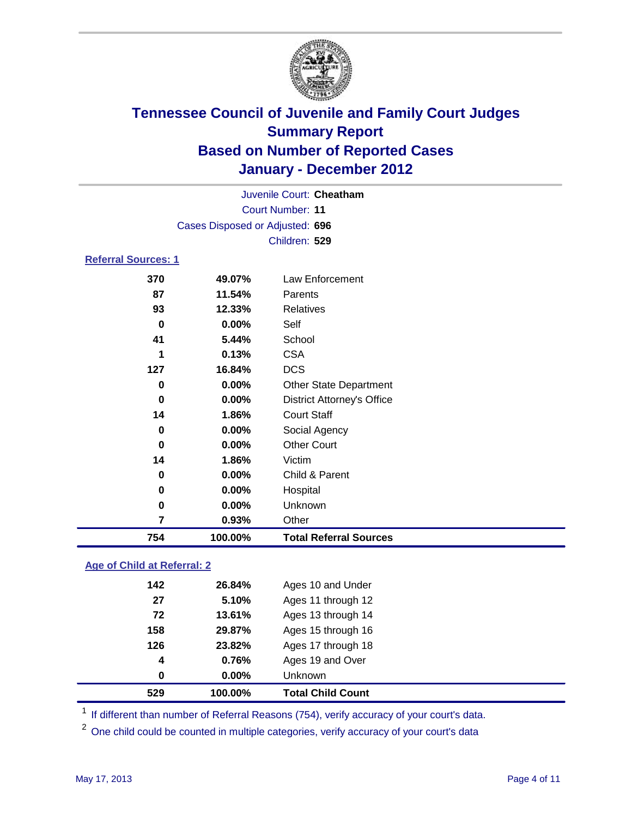

| Juvenile Court: Cheatham   |                                 |                                   |  |  |
|----------------------------|---------------------------------|-----------------------------------|--|--|
|                            | Court Number: 11                |                                   |  |  |
|                            | Cases Disposed or Adjusted: 696 |                                   |  |  |
|                            |                                 | Children: 529                     |  |  |
| <b>Referral Sources: 1</b> |                                 |                                   |  |  |
| 370                        | 49.07%                          | Law Enforcement                   |  |  |
| 87                         | 11.54%                          | Parents                           |  |  |
| 93                         | 12.33%                          | Relatives                         |  |  |
| 0                          | 0.00%                           | Self                              |  |  |
| 41                         | 5.44%                           | School                            |  |  |
| 1                          | 0.13%                           | <b>CSA</b>                        |  |  |
| 127                        | 16.84%                          | <b>DCS</b>                        |  |  |
| 0                          | $0.00\%$                        | <b>Other State Department</b>     |  |  |
| 0                          | $0.00\%$                        | <b>District Attorney's Office</b> |  |  |
| 14                         | 1.86%                           | <b>Court Staff</b>                |  |  |
| 0                          | $0.00\%$                        | Social Agency                     |  |  |
| 0                          | $0.00\%$                        | <b>Other Court</b>                |  |  |
| 14                         | 1.86%                           | Victim                            |  |  |
| 0                          | $0.00\%$                        | Child & Parent                    |  |  |
| 0                          | 0.00%                           | Hospital                          |  |  |
| 0                          | $0.00\%$                        | Unknown                           |  |  |
| 7                          | 0.93%                           | Other                             |  |  |
| 754                        | 100.00%                         | <b>Total Referral Sources</b>     |  |  |

### **Age of Child at Referral: 2**

| 529 | 100.00% | <b>Total Child Count</b> |
|-----|---------|--------------------------|
| 0   | 0.00%   | <b>Unknown</b>           |
| 4   | 0.76%   | Ages 19 and Over         |
| 126 | 23.82%  | Ages 17 through 18       |
| 158 | 29.87%  | Ages 15 through 16       |
| 72  | 13.61%  | Ages 13 through 14       |
| 27  | 5.10%   | Ages 11 through 12       |
| 142 | 26.84%  | Ages 10 and Under        |
|     |         |                          |

<sup>1</sup> If different than number of Referral Reasons (754), verify accuracy of your court's data.

<sup>2</sup> One child could be counted in multiple categories, verify accuracy of your court's data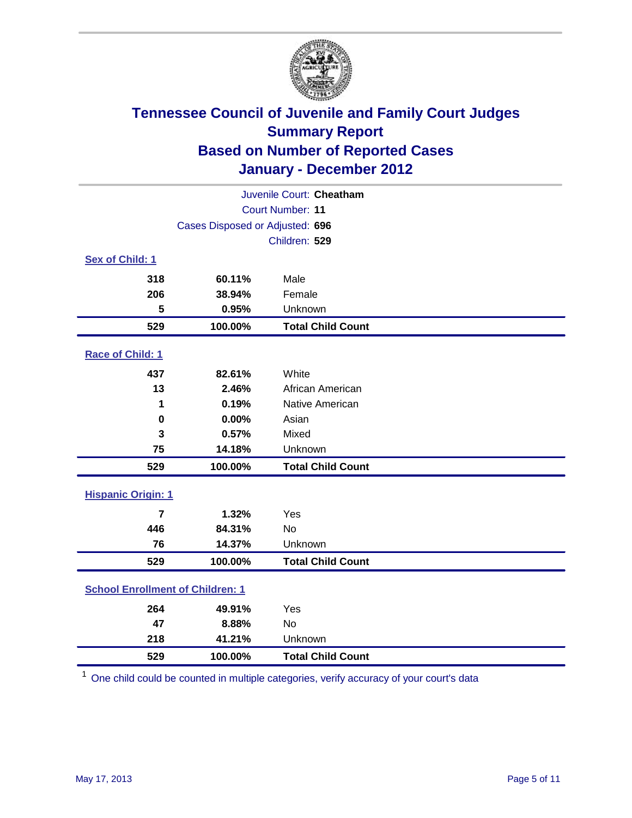

| Juvenile Court: Cheatham                |                                 |                          |  |  |  |
|-----------------------------------------|---------------------------------|--------------------------|--|--|--|
|                                         | <b>Court Number: 11</b>         |                          |  |  |  |
|                                         | Cases Disposed or Adjusted: 696 |                          |  |  |  |
|                                         |                                 | Children: 529            |  |  |  |
| Sex of Child: 1                         |                                 |                          |  |  |  |
| 318                                     | 60.11%                          | Male                     |  |  |  |
| 206                                     | 38.94%                          | Female                   |  |  |  |
| 5                                       | 0.95%                           | Unknown                  |  |  |  |
| 529                                     | 100.00%                         | <b>Total Child Count</b> |  |  |  |
| Race of Child: 1                        |                                 |                          |  |  |  |
| 437                                     | 82.61%                          | White                    |  |  |  |
| 13                                      | 2.46%                           | African American         |  |  |  |
| 1                                       | 0.19%                           | Native American          |  |  |  |
| $\mathbf 0$                             | 0.00%                           | Asian                    |  |  |  |
| 3                                       | 0.57%                           | Mixed                    |  |  |  |
| 75                                      | 14.18%                          | Unknown                  |  |  |  |
| 529                                     | 100.00%                         | <b>Total Child Count</b> |  |  |  |
| <b>Hispanic Origin: 1</b>               |                                 |                          |  |  |  |
| $\overline{7}$                          | 1.32%                           | Yes                      |  |  |  |
| 446                                     | 84.31%                          | No                       |  |  |  |
| 76                                      | 14.37%                          | Unknown                  |  |  |  |
| 529                                     | 100.00%                         | <b>Total Child Count</b> |  |  |  |
| <b>School Enrollment of Children: 1</b> |                                 |                          |  |  |  |
| 264                                     | 49.91%                          | Yes                      |  |  |  |
| 47                                      | 8.88%                           | No                       |  |  |  |
| 218                                     | 41.21%                          | Unknown                  |  |  |  |
| 529                                     | 100.00%                         | <b>Total Child Count</b> |  |  |  |

One child could be counted in multiple categories, verify accuracy of your court's data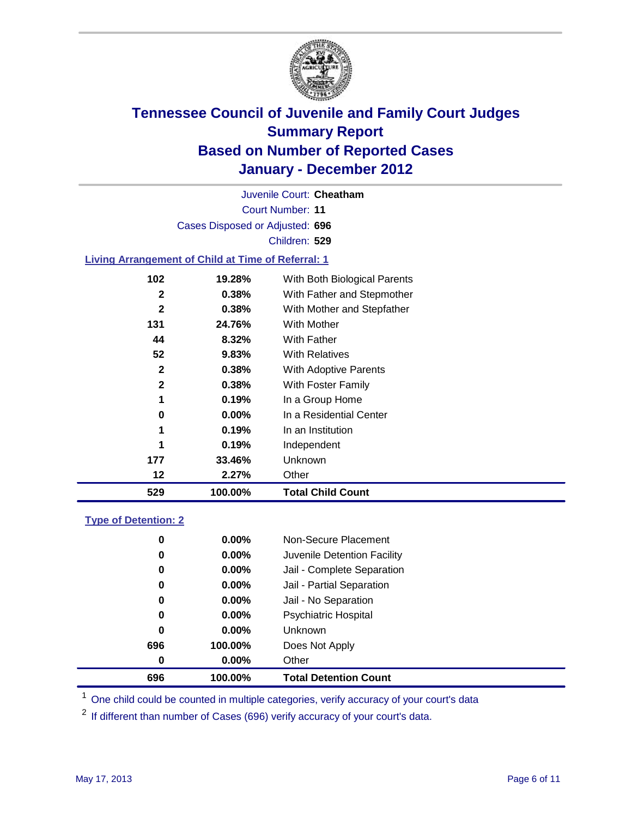

Court Number: **11** Juvenile Court: **Cheatham** Cases Disposed or Adjusted: **696** Children: **529**

#### **Living Arrangement of Child at Time of Referral: 1**

| 529 | 100.00%  | <b>Total Child Count</b>     |
|-----|----------|------------------------------|
| 12  | 2.27%    | Other                        |
| 177 | 33.46%   | <b>Unknown</b>               |
| 1   | 0.19%    | Independent                  |
| 1   | 0.19%    | In an Institution            |
| 0   | $0.00\%$ | In a Residential Center      |
| 1   | 0.19%    | In a Group Home              |
| 2   | 0.38%    | With Foster Family           |
| 2   | 0.38%    | With Adoptive Parents        |
| 52  | $9.83\%$ | <b>With Relatives</b>        |
| 44  | 8.32%    | With Father                  |
| 131 | 24.76%   | With Mother                  |
| 2   | 0.38%    | With Mother and Stepfather   |
| 2   | 0.38%    | With Father and Stepmother   |
| 102 | 19.28%   | With Both Biological Parents |
|     |          |                              |

#### **Type of Detention: 2**

| 696              | 100.00%  | <b>Total Detention Count</b> |  |
|------------------|----------|------------------------------|--|
| $\boldsymbol{0}$ | $0.00\%$ | Other                        |  |
| 696              | 100.00%  | Does Not Apply               |  |
| 0                | $0.00\%$ | <b>Unknown</b>               |  |
| 0                | $0.00\%$ | <b>Psychiatric Hospital</b>  |  |
| 0                | 0.00%    | Jail - No Separation         |  |
| 0                | $0.00\%$ | Jail - Partial Separation    |  |
| 0                | $0.00\%$ | Jail - Complete Separation   |  |
| 0                | 0.00%    | Juvenile Detention Facility  |  |
| 0                | $0.00\%$ | Non-Secure Placement         |  |
|                  |          |                              |  |

<sup>1</sup> One child could be counted in multiple categories, verify accuracy of your court's data

<sup>2</sup> If different than number of Cases (696) verify accuracy of your court's data.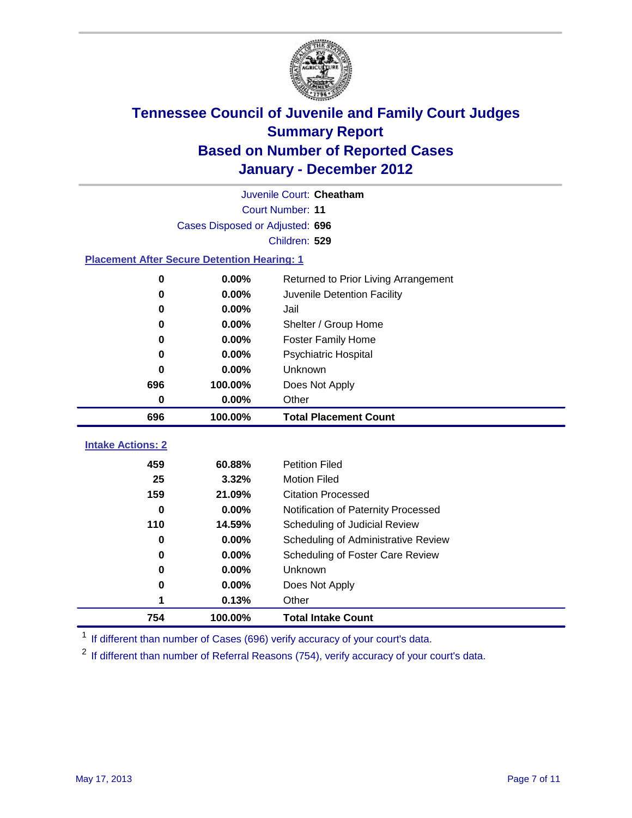

| Juvenile Court: Cheatham                           |                                 |                                      |  |  |  |
|----------------------------------------------------|---------------------------------|--------------------------------------|--|--|--|
|                                                    | <b>Court Number: 11</b>         |                                      |  |  |  |
|                                                    | Cases Disposed or Adjusted: 696 |                                      |  |  |  |
|                                                    |                                 | Children: 529                        |  |  |  |
| <b>Placement After Secure Detention Hearing: 1</b> |                                 |                                      |  |  |  |
| $\bf{0}$                                           | 0.00%                           | Returned to Prior Living Arrangement |  |  |  |
| $\bf{0}$                                           | 0.00%                           | Juvenile Detention Facility          |  |  |  |
| $\bf{0}$                                           | 0.00%                           | Jail                                 |  |  |  |
| $\bf{0}$                                           | 0.00%                           | Shelter / Group Home                 |  |  |  |
| 0                                                  | 0.00%                           | <b>Foster Family Home</b>            |  |  |  |
| $\bf{0}$                                           | 0.00%                           | Psychiatric Hospital                 |  |  |  |
| 0                                                  | 0.00%                           | Unknown                              |  |  |  |
| 696                                                | 100.00%                         | Does Not Apply                       |  |  |  |
| 0                                                  | 0.00%                           | Other                                |  |  |  |
| 696                                                | 100.00%                         | <b>Total Placement Count</b>         |  |  |  |
| <b>Intake Actions: 2</b>                           |                                 |                                      |  |  |  |
| 459                                                | 60.88%                          | <b>Petition Filed</b>                |  |  |  |
| 25                                                 | 3.32%                           | <b>Motion Filed</b>                  |  |  |  |
| 159                                                | 21.09%                          | <b>Citation Processed</b>            |  |  |  |
| 0                                                  | 0.00%                           | Notification of Paternity Processed  |  |  |  |
| 110                                                | 14.59%                          | Scheduling of Judicial Review        |  |  |  |
| 0                                                  | 0.00%                           | Scheduling of Administrative Review  |  |  |  |
| $\bf{0}$                                           | 0.00%                           | Scheduling of Foster Care Review     |  |  |  |
| 0                                                  | 0.00%                           | Unknown                              |  |  |  |
|                                                    |                                 |                                      |  |  |  |
| 0                                                  | 0.00%                           | Does Not Apply                       |  |  |  |

<sup>1</sup> If different than number of Cases (696) verify accuracy of your court's data.

**100.00% Total Intake Count**

<sup>2</sup> If different than number of Referral Reasons (754), verify accuracy of your court's data.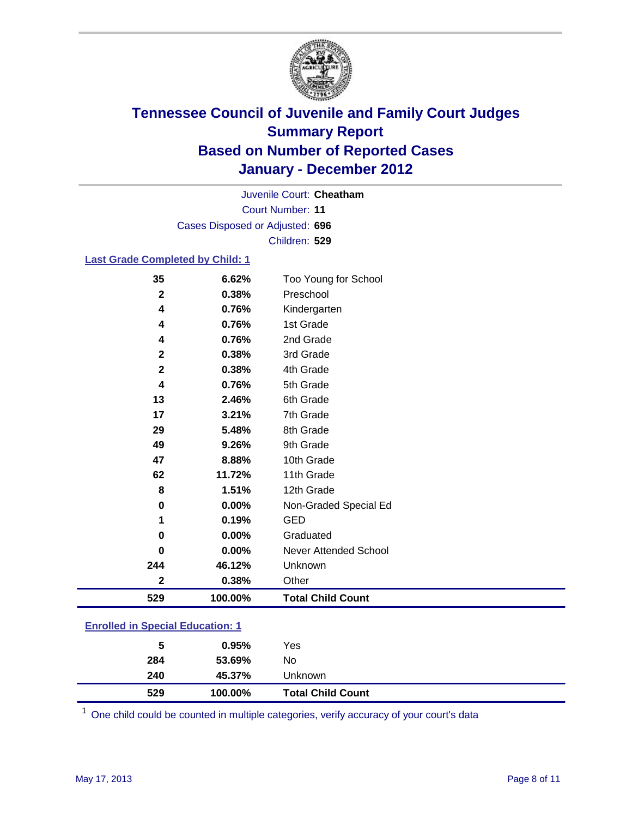

Court Number: **11** Juvenile Court: **Cheatham** Cases Disposed or Adjusted: **696** Children: **529**

#### **Last Grade Completed by Child: 1**

| 529                     | 100.00% | <b>Total Child Count</b> |  |
|-------------------------|---------|--------------------------|--|
| 2                       | 0.38%   | Other                    |  |
| 244                     | 46.12%  | Unknown                  |  |
| 0                       | 0.00%   | Never Attended School    |  |
| $\bf{0}$                | 0.00%   | Graduated                |  |
| 1                       | 0.19%   | <b>GED</b>               |  |
| 0                       | 0.00%   | Non-Graded Special Ed    |  |
| 8                       | 1.51%   | 12th Grade               |  |
| 62                      | 11.72%  | 11th Grade               |  |
| 47                      | 8.88%   | 10th Grade               |  |
| 49                      | 9.26%   | 9th Grade                |  |
| 29                      | 5.48%   | 8th Grade                |  |
| 17                      | 3.21%   | 7th Grade                |  |
| 13                      | 2.46%   | 6th Grade                |  |
| 4                       | 0.76%   | 5th Grade                |  |
| $\mathbf 2$             | 0.38%   | 4th Grade                |  |
| $\mathbf{2}$            | 0.38%   | 3rd Grade                |  |
| 4                       | 0.76%   | 2nd Grade                |  |
| 4                       | 0.76%   | 1st Grade                |  |
| 4                       | 0.76%   | Kindergarten             |  |
| $\overline{\mathbf{2}}$ | 0.38%   | Preschool                |  |
| 35                      | 6.62%   | Too Young for School     |  |

### **Enrolled in Special Education: 1**

| 529 | 100.00% | <b>Total Child Count</b> |  |
|-----|---------|--------------------------|--|
| 240 | 45.37%  | <b>Unknown</b>           |  |
| 284 | 53.69%  | No.                      |  |
| 5   | 0.95%   | Yes                      |  |
|     |         |                          |  |

One child could be counted in multiple categories, verify accuracy of your court's data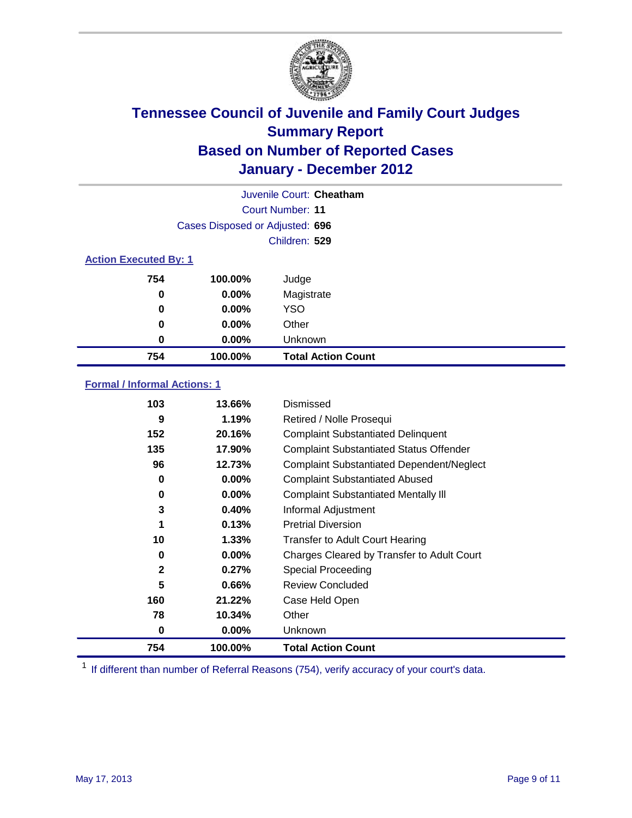

|                              | Juvenile Court: Cheatham        |                           |  |
|------------------------------|---------------------------------|---------------------------|--|
|                              |                                 | Court Number: 11          |  |
|                              | Cases Disposed or Adjusted: 696 |                           |  |
|                              |                                 | Children: 529             |  |
| <b>Action Executed By: 1</b> |                                 |                           |  |
| 754                          | 100.00%                         | Judge                     |  |
| 0                            | 0.00%                           | Magistrate                |  |
| 0                            | 0.00%                           | <b>YSO</b>                |  |
| 0                            | $0.00\%$                        | Other                     |  |
| 0                            | 0.00%                           | Unknown                   |  |
| 754                          | 100.00%                         | <b>Total Action Count</b> |  |

### **Formal / Informal Actions: 1**

| 103          | 13.66%   | Dismissed                                        |
|--------------|----------|--------------------------------------------------|
| 9            | 1.19%    | Retired / Nolle Prosequi                         |
| 152          | 20.16%   | <b>Complaint Substantiated Delinquent</b>        |
| 135          | 17.90%   | <b>Complaint Substantiated Status Offender</b>   |
| 96           | 12.73%   | <b>Complaint Substantiated Dependent/Neglect</b> |
| 0            | $0.00\%$ | <b>Complaint Substantiated Abused</b>            |
| 0            | $0.00\%$ | <b>Complaint Substantiated Mentally III</b>      |
| 3            | 0.40%    | Informal Adjustment                              |
| 1            | 0.13%    | <b>Pretrial Diversion</b>                        |
| 10           | 1.33%    | <b>Transfer to Adult Court Hearing</b>           |
| 0            | $0.00\%$ | Charges Cleared by Transfer to Adult Court       |
| $\mathbf{2}$ | 0.27%    | <b>Special Proceeding</b>                        |
| 5            | 0.66%    | <b>Review Concluded</b>                          |
| 160          | 21.22%   | Case Held Open                                   |
| 78           | 10.34%   | Other                                            |
| 0            | $0.00\%$ | Unknown                                          |
| 754          | 100.00%  | <b>Total Action Count</b>                        |

<sup>1</sup> If different than number of Referral Reasons (754), verify accuracy of your court's data.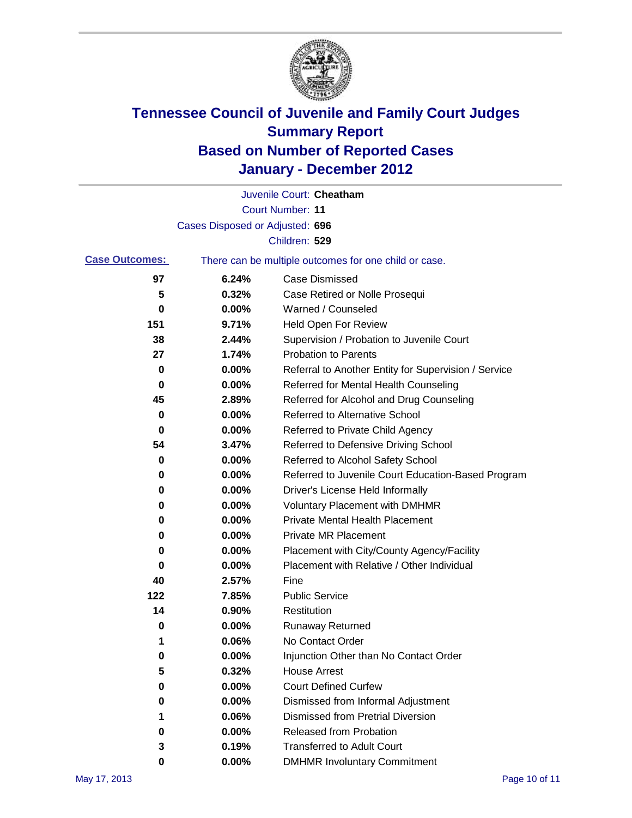

|                       |                                 | Juvenile Court: Cheatham                              |
|-----------------------|---------------------------------|-------------------------------------------------------|
|                       |                                 | <b>Court Number: 11</b>                               |
|                       | Cases Disposed or Adjusted: 696 |                                                       |
|                       |                                 | Children: 529                                         |
| <b>Case Outcomes:</b> |                                 | There can be multiple outcomes for one child or case. |
| 97                    | 6.24%                           | <b>Case Dismissed</b>                                 |
| 5                     | 0.32%                           | Case Retired or Nolle Prosequi                        |
| 0                     | 0.00%                           | Warned / Counseled                                    |
| 151                   | 9.71%                           | <b>Held Open For Review</b>                           |
| 38                    | 2.44%                           | Supervision / Probation to Juvenile Court             |
| 27                    | 1.74%                           | <b>Probation to Parents</b>                           |
| 0                     | 0.00%                           | Referral to Another Entity for Supervision / Service  |
| 0                     | 0.00%                           | Referred for Mental Health Counseling                 |
| 45                    | 2.89%                           | Referred for Alcohol and Drug Counseling              |
| 0                     | 0.00%                           | <b>Referred to Alternative School</b>                 |
| 0                     | 0.00%                           | Referred to Private Child Agency                      |
| 54                    | 3.47%                           | Referred to Defensive Driving School                  |
| 0                     | 0.00%                           | Referred to Alcohol Safety School                     |
| 0                     | 0.00%                           | Referred to Juvenile Court Education-Based Program    |
| 0                     | 0.00%                           | Driver's License Held Informally                      |
| 0                     | 0.00%                           | <b>Voluntary Placement with DMHMR</b>                 |
| 0                     | 0.00%                           | <b>Private Mental Health Placement</b>                |
| 0                     | 0.00%                           | <b>Private MR Placement</b>                           |
| 0                     | 0.00%                           | Placement with City/County Agency/Facility            |
| 0                     | 0.00%                           | Placement with Relative / Other Individual            |
| 40                    | 2.57%                           | Fine                                                  |
| 122                   | 7.85%                           | <b>Public Service</b>                                 |
| 14                    | 0.90%                           | Restitution                                           |
| 0                     | 0.00%                           | <b>Runaway Returned</b>                               |
| 1                     | 0.06%                           | No Contact Order                                      |
| $\pmb{0}$             | 0.00%                           | Injunction Other than No Contact Order                |
| 5                     | 0.32%                           | <b>House Arrest</b>                                   |
| 0                     | 0.00%                           | <b>Court Defined Curfew</b>                           |
| 0                     | 0.00%                           | Dismissed from Informal Adjustment                    |
| 1                     | 0.06%                           | <b>Dismissed from Pretrial Diversion</b>              |
| 0                     | 0.00%                           | Released from Probation                               |
| 3                     | 0.19%                           | <b>Transferred to Adult Court</b>                     |
| 0                     | $0.00\%$                        | <b>DMHMR Involuntary Commitment</b>                   |